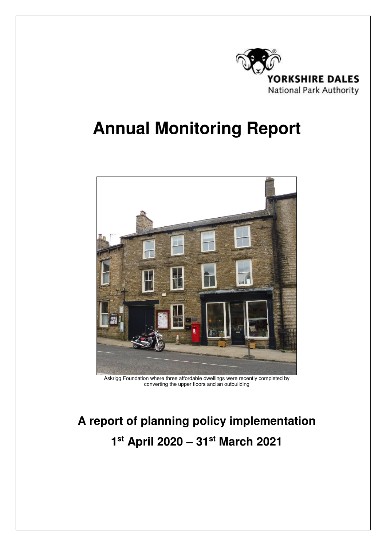

# **Annual Monitoring Report**



Askrigg Foundation where three affordable dwellings were recently completed by converting the upper floors and an outbuilding

# **A report of planning policy implementation 1 st April 2020 – 31st March 2021**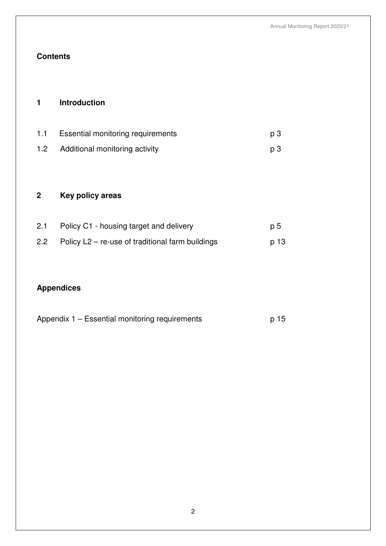# **Contents**

# **1 Introduction**

| 1.1              | <b>Essential monitoring requirements</b> | p 3   |
|------------------|------------------------------------------|-------|
| 1.2 <sub>1</sub> | Additional monitoring activity           | - p 3 |

# **2 Key policy areas**

| 2.1 | Policy C1 - housing target and delivery                | p 5  |
|-----|--------------------------------------------------------|------|
|     | 2.2 Policy $L2$ – re-use of traditional farm buildings | p 13 |

# **Appendices**

| Appendix 1 – Essential monitoring requirements | p 15 |
|------------------------------------------------|------|
|------------------------------------------------|------|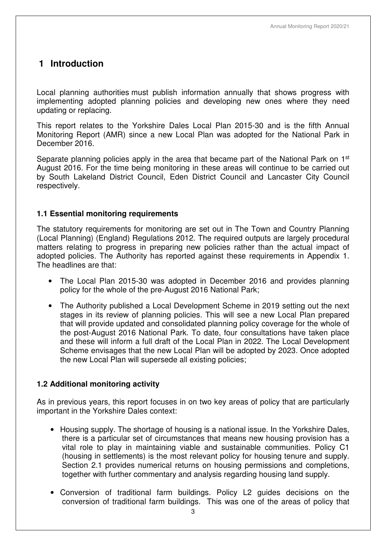# **1 Introduction**

Local planning authorities must publish information annually that shows progress with implementing adopted planning policies and developing new ones where they need updating or replacing.

This report relates to the Yorkshire Dales Local Plan 2015-30 and is the fifth Annual Monitoring Report (AMR) since a new Local Plan was adopted for the National Park in December 2016.

Separate planning policies apply in the area that became part of the National Park on 1<sup>st</sup> August 2016. For the time being monitoring in these areas will continue to be carried out by South Lakeland District Council, Eden District Council and Lancaster City Council respectively.

# **1.1 Essential monitoring requirements**

The statutory requirements for monitoring are set out in The Town and Country Planning (Local Planning) (England) Regulations 2012. The required outputs are largely procedural matters relating to progress in preparing new policies rather than the actual impact of adopted policies. The Authority has reported against these requirements in Appendix 1. The headlines are that:

- The Local Plan 2015-30 was adopted in December 2016 and provides planning policy for the whole of the pre-August 2016 National Park;
- The Authority published a Local Development Scheme in 2019 setting out the next stages in its review of planning policies. This will see a new Local Plan prepared that will provide updated and consolidated planning policy coverage for the whole of the post-August 2016 National Park. To date, four consultations have taken place and these will inform a full draft of the Local Plan in 2022. The Local Development Scheme envisages that the new Local Plan will be adopted by 2023. Once adopted the new Local Plan will supersede all existing policies;

# **1.2 Additional monitoring activity**

As in previous years, this report focuses in on two key areas of policy that are particularly important in the Yorkshire Dales context:

- Housing supply. The shortage of housing is a national issue. In the Yorkshire Dales, there is a particular set of circumstances that means new housing provision has a vital role to play in maintaining viable and sustainable communities. Policy C1 (housing in settlements) is the most relevant policy for housing tenure and supply. Section 2.1 provides numerical returns on housing permissions and completions, together with further commentary and analysis regarding housing land supply.
- Conversion of traditional farm buildings. Policy L2 guides decisions on the conversion of traditional farm buildings. This was one of the areas of policy that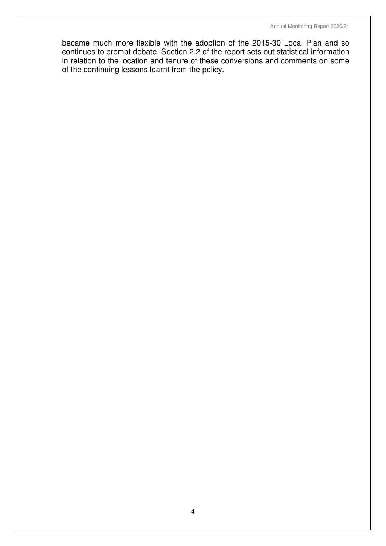became much more flexible with the adoption of the 2015-30 Local Plan and so continues to prompt debate. Section 2.2 of the report sets out statistical information in relation to the location and tenure of these conversions and comments on some of the continuing lessons learnt from the policy.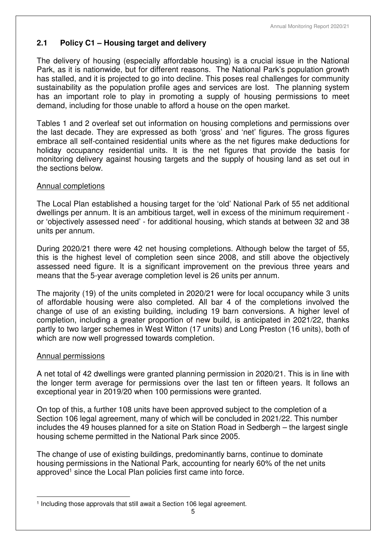# **2.1 Policy C1 – Housing target and delivery**

The delivery of housing (especially affordable housing) is a crucial issue in the National Park, as it is nationwide, but for different reasons. The National Park's population growth has stalled, and it is projected to go into decline. This poses real challenges for community sustainability as the population profile ages and services are lost. The planning system has an important role to play in promoting a supply of housing permissions to meet demand, including for those unable to afford a house on the open market.

Tables 1 and 2 overleaf set out information on housing completions and permissions over the last decade. They are expressed as both 'gross' and 'net' figures. The gross figures embrace all self-contained residential units where as the net figures make deductions for holiday occupancy residential units. It is the net figures that provide the basis for monitoring delivery against housing targets and the supply of housing land as set out in the sections below.

# Annual completions

The Local Plan established a housing target for the 'old' National Park of 55 net additional dwellings per annum. It is an ambitious target, well in excess of the minimum requirement or 'objectively assessed need' - for additional housing, which stands at between 32 and 38 units per annum.

During 2020/21 there were 42 net housing completions. Although below the target of 55, this is the highest level of completion seen since 2008, and still above the objectively assessed need figure. It is a significant improvement on the previous three years and means that the 5-year average completion level is 26 units per annum.

The majority (19) of the units completed in 2020/21 were for local occupancy while 3 units of affordable housing were also completed. All bar 4 of the completions involved the change of use of an existing building, including 19 barn conversions. A higher level of completion, including a greater proportion of new build, is anticipated in 2021/22, thanks partly to two larger schemes in West Witton (17 units) and Long Preston (16 units), both of which are now well progressed towards completion.

#### Annual permissions

A net total of 42 dwellings were granted planning permission in 2020/21. This is in line with the longer term average for permissions over the last ten or fifteen years. It follows an exceptional year in 2019/20 when 100 permissions were granted.

On top of this, a further 108 units have been approved subject to the completion of a Section 106 legal agreement, many of which will be concluded in 2021/22. This number includes the 49 houses planned for a site on Station Road in Sedbergh – the largest single housing scheme permitted in the National Park since 2005.

The change of use of existing buildings, predominantly barns, continue to dominate housing permissions in the National Park, accounting for nearly 60% of the net units approved<sup>1</sup> since the Local Plan policies first came into force.

 $\overline{a}$ <sup>1</sup> Including those approvals that still await a Section 106 legal agreement.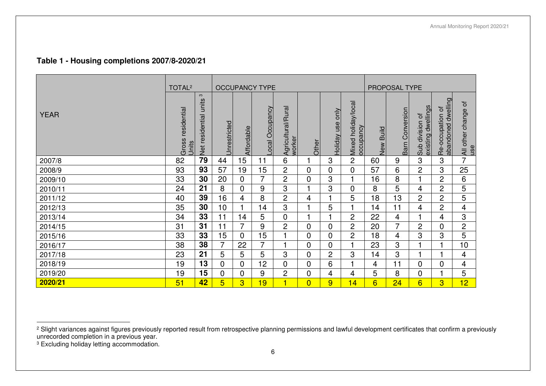# **Table 1 - Housing completions 2007/8-2020/21**

|             | TOTAL <sup>2</sup>            |                                         |              |                | <b>OCCUPANCY TYPE</b> |                              |                |                        |                                  |              | PROPOSAL TYPE   |                                          |                                          |                              |
|-------------|-------------------------------|-----------------------------------------|--------------|----------------|-----------------------|------------------------------|----------------|------------------------|----------------------------------|--------------|-----------------|------------------------------------------|------------------------------------------|------------------------------|
| <b>YEAR</b> | residential<br>Gross<br>Jnits | $\mathfrak{S}$<br>Net residential units | Jnrestricted | Affordable     | Local Occupancy       | Agricultural/Rural<br>worker | Other          | only<br>use<br>Holiday | Mixed holiday/local<br>occupancy | Build<br>New | Barn Conversion | existing dwellings<br>division of<br>Sub | abandoned dwelling<br>đ<br>Re-occupation | ৳<br>All other change<br>use |
| 2007/8      | 82                            | 79                                      | 44           | 15             | 11                    | 6                            |                | 3                      | $\overline{2}$                   | 60           | 9               | 3                                        | 3                                        | $\overline{7}$               |
| 2008/9      | 93                            | 93                                      | 57           | 19             | 15                    | $\overline{2}$               | 0              | $\overline{0}$         | 0                                | 57           | 6               | $\overline{2}$                           | 3                                        | 25                           |
| 2009/10     | 33                            | 30                                      | 20           | 0              | 7                     | $\overline{2}$               | 0              | 3                      |                                  | 16           | 8               |                                          | $\overline{2}$                           | 6                            |
| 2010/11     | 24                            | 21                                      | 8            | 0              | 9                     | 3                            | 1              | 3                      | 0                                | 8            | 5               | 4                                        | $\overline{2}$                           | 5                            |
| 2011/12     | 40                            | 39                                      | 16           | 4              | 8                     | $\overline{c}$               | 4              |                        | 5                                | 18           | 13              | 2                                        | $\overline{2}$                           | 5                            |
| 2012/13     | 35                            | 30                                      | 10           |                | 14                    | 3                            |                | 5                      |                                  | 14           | 11              | 4                                        | $\overline{2}$                           | $\overline{\mathbf{4}}$      |
| 2013/14     | 34                            | 33                                      | 11           | 14             | 5                     | $\overline{0}$               |                |                        | 2                                | 22           | 4               |                                          | 4                                        | 3                            |
| 2014/15     | 31                            | 31                                      | 11           | 7              | 9                     | $\overline{c}$               | $\overline{0}$ | 0                      | $\overline{2}$                   | 20           | 7               | 2                                        | $\Omega$                                 | $\overline{c}$               |
| 2015/16     | 33                            | 33                                      | 15           | 0              | 15                    | $\overline{\phantom{a}}$     | 0              | 0                      | $\overline{c}$                   | 18           | 4               | 3                                        | 3                                        | 5                            |
| 2016/17     | 38                            | 38                                      | 7            | 22             | 7                     |                              | 0              | 0                      |                                  | 23           | 3               |                                          |                                          | 10                           |
| 2017/18     | 23                            | 21                                      | 5            | 5              | 5                     | 3                            | 0              | 2                      | 3                                | 14           | 3               |                                          |                                          | 4                            |
| 2018/19     | 19                            | 13                                      | 0            | 0              | 12                    | 0                            | 0              | 6                      |                                  | 4            | 11              | 0                                        | 0                                        | 4                            |
| 2019/20     | 19                            | 15                                      | $\mathbf 0$  | 0              | 9                     | $\overline{2}$               | 0              | 4                      | 4                                | 5            | 8               | 0                                        |                                          | 5                            |
| 2020/21     | 51                            | 42                                      | 5            | $\overline{3}$ | 19                    | $\blacksquare$               | $\overline{0}$ | 9                      | 4                                | 6            | 24              | 6                                        | 3                                        | 12                           |

<sup>&</sup>lt;sup>2</sup> Slight variances against figures previously reported result from retrospective planning permissions and lawful development certificates that confirm a previously<br>unrecorded completion in a previous year.

<sup>&</sup>lt;sup>3</sup> Excluding holiday letting accommodation.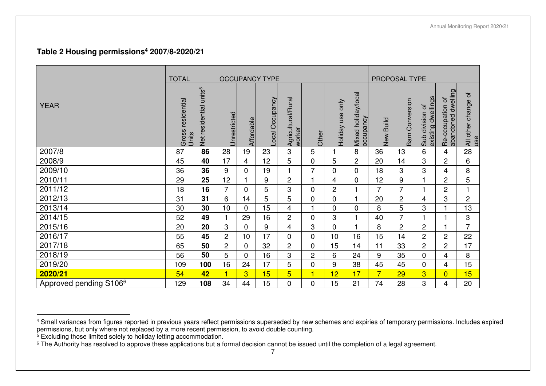#### **Table 2 Housing permissions<sup>4</sup> 2007/8-2020/21**

|                                    | <b>TOTAL</b>               |                                    |                |                | <b>OCCUPANCY TYPE</b> |                              |                         |                     |                                  |                     | PROPOSAL TYPE      |                                            |                                        |                              |
|------------------------------------|----------------------------|------------------------------------|----------------|----------------|-----------------------|------------------------------|-------------------------|---------------------|----------------------------------|---------------------|--------------------|--------------------------------------------|----------------------------------------|------------------------------|
| <b>YEAR</b>                        | Gross residential<br>Units | Net residential units <sup>5</sup> | Jnrestricted   | Affordable     | ocal Occupancy        | Agricultural/Rural<br>worker | Other                   | only<br>Holiday use | Mixed holiday/local<br>occupancy | <b>Build</b><br>New | Conversion<br>Barn | dwellings<br>đ<br>Sub division<br>existing | Re-occupation of<br>abandoned dwelling | ð<br>All other change<br>use |
| 2007/8                             | 87                         | 86                                 | 28             | 19             | 23                    | 3                            | 5                       |                     | 8                                | 36                  | 13                 | 6                                          | 4                                      | 28                           |
| 2008/9                             | 45                         | 40                                 | 17             | 4              | 12                    | 5                            | 0                       | $\overline{5}$      | $\overline{c}$                   | 20                  | 14                 | 3                                          | $\overline{2}$                         | 6                            |
| 2009/10                            | 36                         | 36                                 | 9              | 0              | 19                    | 1                            | 7                       | $\mathbf 0$         | 0                                | 18                  | 3                  | 3                                          | 4                                      | 8                            |
| 2010/11                            | 29                         | 25                                 | 12             |                | 9                     | $\overline{c}$               | $\overline{\mathbf{1}}$ | 4                   | 0                                | 12                  | 9                  | 1                                          | $\overline{2}$                         | 5                            |
| 2011/12                            | 18                         | 16                                 | $\overline{7}$ | 0              | 5                     | 3                            | 0                       | $\overline{c}$      |                                  | 7                   | 7                  | 1                                          | $\overline{2}$                         |                              |
| 2012/13                            | 31                         | 31                                 | 6              | 14             | 5                     | 5                            | 0                       | $\pmb{0}$           |                                  | 20                  | $\overline{c}$     | 4                                          | 3                                      | $\overline{2}$               |
| 2013/14                            | 30                         | 30                                 | 10             | $\Omega$       | 15                    | 4                            | 1                       | $\pmb{0}$           | 0                                | 8                   | 5                  | 3                                          |                                        | 13                           |
| 2014/15                            | 52                         | 49                                 | 1              | 29             | 16                    | $\overline{c}$               | 0                       | 3                   |                                  | 40                  | $\overline{7}$     |                                            |                                        | 3                            |
| 2015/16                            | 20                         | 20                                 | 3              | 0              | 9                     | 4                            | 3                       | 0                   |                                  | 8                   | $\overline{2}$     | 2                                          |                                        | $\overline{7}$               |
| 2016/17                            | 55                         | 45                                 | $\overline{2}$ | 10             | 17                    | $\mathbf 0$                  | 0                       | 10                  | 16                               | 15                  | 14                 | $\overline{c}$                             | $\overline{c}$                         | 22                           |
| 2017/18                            | 65                         | 50                                 | $\overline{c}$ | $\Omega$       | 32                    | 2                            | 0                       | 15                  | 14                               | 11                  | 33                 | $\overline{c}$                             | $\overline{2}$                         | 17                           |
| 2018/19                            | 56                         | 50                                 | 5              | 0              | 16                    | 3                            | $\overline{c}$          | 6                   | 24                               | 9                   | 35                 | 0                                          | 4                                      | 8                            |
| 2019/20                            | 109                        | 100                                | 16             | 24             | 17                    | 5                            | 0                       | 9                   | 38                               | 45                  | 45                 | 0                                          | $\overline{4}$                         | 15                           |
| 2020/21                            | 54                         | 42                                 | $\blacksquare$ | $\overline{3}$ | 15                    | $5\overline{)}$              | 1                       | 12                  | 17                               | $\overline{7}$      | 29                 | 3                                          | $\overline{0}$                         | 15                           |
| Approved pending S106 <sup>6</sup> | 129                        | 108                                | 34             | 44             | 15                    | 0                            | 0                       | 15                  | 21                               | 74                  | 28                 | 3                                          | 4                                      | 20                           |

<sup>&</sup>lt;sup>4</sup> Small variances from figures reported in previous years reflect permissions superseded by new schemes and expiries of temporary permissions. Includes expired<br>permissions, but only where not replaced by a more recent pe

<sup>&</sup>lt;sup>6</sup> The Authority has resolved to approve these applications but a formal decision cannot be issued until the completion of a legal agreement.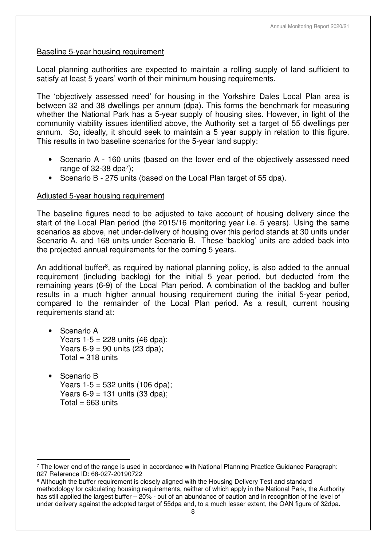#### Baseline 5-year housing requirement

Local planning authorities are expected to maintain a rolling supply of land sufficient to satisfy at least 5 years' worth of their minimum housing requirements.

The 'objectively assessed need' for housing in the Yorkshire Dales Local Plan area is between 32 and 38 dwellings per annum (dpa). This forms the benchmark for measuring whether the National Park has a 5-year supply of housing sites. However, in light of the community viability issues identified above, the Authority set a target of 55 dwellings per annum. So, ideally, it should seek to maintain a 5 year supply in relation to this figure. This results in two baseline scenarios for the 5-year land supply:

- Scenario A 160 units (based on the lower end of the objectively assessed need range of 32-38 dpa $^7$ );
- Scenario B 275 units (based on the Local Plan target of 55 dpa).

#### Adjusted 5-year housing requirement

The baseline figures need to be adjusted to take account of housing delivery since the start of the Local Plan period (the 2015/16 monitoring year i.e. 5 years). Using the same scenarios as above, net under-delivery of housing over this period stands at 30 units under Scenario A, and 168 units under Scenario B. These 'backlog' units are added back into the projected annual requirements for the coming 5 years.

An additional buffer<sup>8</sup>, as required by national planning policy, is also added to the annual requirement (including backlog) for the initial 5 year period, but deducted from the remaining years (6-9) of the Local Plan period. A combination of the backlog and buffer results in a much higher annual housing requirement during the initial 5-year period, compared to the remainder of the Local Plan period. As a result, current housing requirements stand at:

- Scenario A Years  $1-5 = 228$  units  $(46$  dpa); Years  $6-9 = 90$  units (23 dpa);  $Total = 318$  units
- Scenario B Years 1-5 = 532 units (106 dpa); Years  $6 - 9 = 131$  units (33 dpa);  $Total = 663$  units

 $\overline{a}$ 7 The lower end of the range is used in accordance with National Planning Practice Guidance Paragraph: 027 Reference ID: 68-027-20190722

<sup>&</sup>lt;sup>8</sup> Although the buffer requirement is closely aligned with the Housing Delivery Test and standard methodology for calculating housing requirements, neither of which apply in the National Park, the Authority has still applied the largest buffer – 20% - out of an abundance of caution and in recognition of the level of under delivery against the adopted target of 55dpa and, to a much lesser extent, the OAN figure of 32dpa.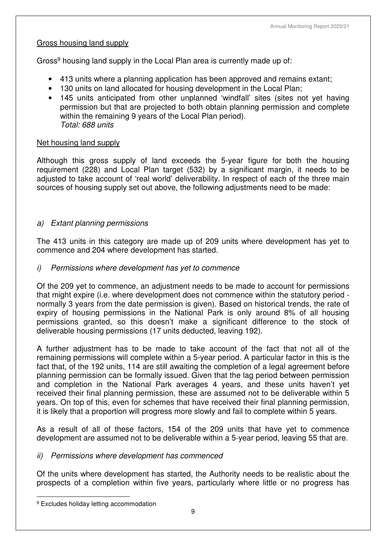# Gross housing land supply

Gross<sup>9</sup> housing land supply in the Local Plan area is currently made up of:

- 413 units where a planning application has been approved and remains extant;
- 130 units on land allocated for housing development in the Local Plan;
- 145 units anticipated from other unplanned 'windfall' sites (sites not yet having permission but that are projected to both obtain planning permission and complete within the remaining 9 years of the Local Plan period). *Total: 688 units*

# Net housing land supply

Although this gross supply of land exceeds the 5-year figure for both the housing requirement (228) and Local Plan target (532) by a significant margin, it needs to be adjusted to take account of 'real world' deliverability. In respect of each of the three main sources of housing supply set out above, the following adjustments need to be made:

# *a) Extant planning permissions*

The 413 units in this category are made up of 209 units where development has yet to commence and 204 where development has started.

# *i) Permissions where development has yet to commence*

Of the 209 yet to commence, an adjustment needs to be made to account for permissions that might expire (i.e. where development does not commence within the statutory period normally 3 years from the date permission is given). Based on historical trends, the rate of expiry of housing permissions in the National Park is only around 8% of all housing permissions granted, so this doesn't make a significant difference to the stock of deliverable housing permissions (17 units deducted, leaving 192).

A further adjustment has to be made to take account of the fact that not all of the remaining permissions will complete within a 5-year period. A particular factor in this is the fact that, of the 192 units, 114 are still awaiting the completion of a legal agreement before planning permission can be formally issued. Given that the lag period between permission and completion in the National Park averages 4 years, and these units haven't yet received their final planning permission, these are assumed not to be deliverable within 5 years. On top of this, even for schemes that have received their final planning permission, it is likely that a proportion will progress more slowly and fail to complete within 5 years.

As a result of all of these factors, 154 of the 209 units that have yet to commence development are assumed not to be deliverable within a 5-year period, leaving 55 that are.

#### *ii) Permissions where development has commenced*

Of the units where development has started, the Authority needs to be realistic about the prospects of a completion within five years, particularly where little or no progress has

 $\overline{a}$ 9 Excludes holiday letting accommodation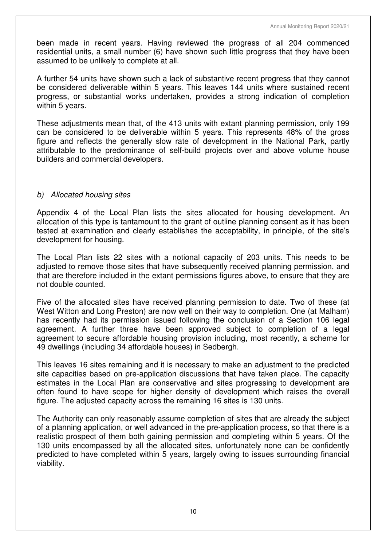been made in recent years. Having reviewed the progress of all 204 commenced residential units, a small number (6) have shown such little progress that they have been assumed to be unlikely to complete at all.

A further 54 units have shown such a lack of substantive recent progress that they cannot be considered deliverable within 5 years. This leaves 144 units where sustained recent progress, or substantial works undertaken, provides a strong indication of completion within 5 years.

These adjustments mean that, of the 413 units with extant planning permission, only 199 can be considered to be deliverable within 5 years. This represents 48% of the gross figure and reflects the generally slow rate of development in the National Park, partly attributable to the predominance of self-build projects over and above volume house builders and commercial developers.

# *b) Allocated housing sites*

Appendix 4 of the Local Plan lists the sites allocated for housing development. An allocation of this type is tantamount to the grant of outline planning consent as it has been tested at examination and clearly establishes the acceptability, in principle, of the site's development for housing.

The Local Plan lists 22 sites with a notional capacity of 203 units. This needs to be adjusted to remove those sites that have subsequently received planning permission, and that are therefore included in the extant permissions figures above, to ensure that they are not double counted.

Five of the allocated sites have received planning permission to date. Two of these (at West Witton and Long Preston) are now well on their way to completion. One (at Malham) has recently had its permission issued following the conclusion of a Section 106 legal agreement. A further three have been approved subject to completion of a legal agreement to secure affordable housing provision including, most recently, a scheme for 49 dwellings (including 34 affordable houses) in Sedbergh.

This leaves 16 sites remaining and it is necessary to make an adjustment to the predicted site capacities based on pre-application discussions that have taken place. The capacity estimates in the Local Plan are conservative and sites progressing to development are often found to have scope for higher density of development which raises the overall figure. The adjusted capacity across the remaining 16 sites is 130 units.

The Authority can only reasonably assume completion of sites that are already the subject of a planning application, or well advanced in the pre-application process, so that there is a realistic prospect of them both gaining permission and completing within 5 years. Of the 130 units encompassed by all the allocated sites, unfortunately none can be confidently predicted to have completed within 5 years, largely owing to issues surrounding financial viability.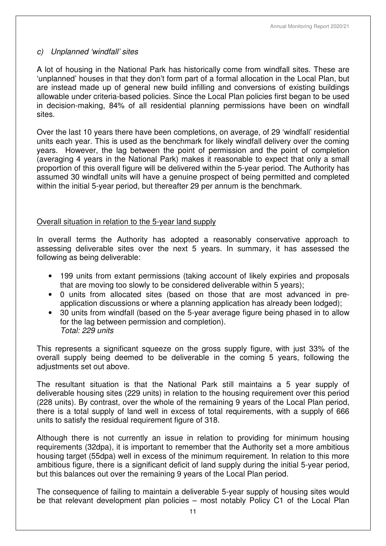# *c) Unplanned 'windfall' sites*

A lot of housing in the National Park has historically come from windfall sites. These are 'unplanned' houses in that they don't form part of a formal allocation in the Local Plan, but are instead made up of general new build infilling and conversions of existing buildings allowable under criteria-based policies. Since the Local Plan policies first began to be used in decision-making, 84% of all residential planning permissions have been on windfall sites.

Over the last 10 years there have been completions, on average, of 29 'windfall' residential units each year. This is used as the benchmark for likely windfall delivery over the coming years. However, the lag between the point of permission and the point of completion (averaging 4 years in the National Park) makes it reasonable to expect that only a small proportion of this overall figure will be delivered within the 5-year period. The Authority has assumed 30 windfall units will have a genuine prospect of being permitted and completed within the initial 5-year period, but thereafter 29 per annum is the benchmark.

# Overall situation in relation to the 5-year land supply

In overall terms the Authority has adopted a reasonably conservative approach to assessing deliverable sites over the next 5 years. In summary, it has assessed the following as being deliverable:

- 199 units from extant permissions (taking account of likely expiries and proposals that are moving too slowly to be considered deliverable within 5 years);
- 0 units from allocated sites (based on those that are most advanced in preapplication discussions or where a planning application has already been lodged);
- 30 units from windfall (based on the 5-year average figure being phased in to allow for the lag between permission and completion). *Total: 229 units*

This represents a significant squeeze on the gross supply figure, with just 33% of the overall supply being deemed to be deliverable in the coming 5 years, following the adiustments set out above.

The resultant situation is that the National Park still maintains a 5 year supply of deliverable housing sites (229 units) in relation to the housing requirement over this period (228 units). By contrast, over the whole of the remaining 9 years of the Local Plan period, there is a total supply of land well in excess of total requirements, with a supply of 666 units to satisfy the residual requirement figure of 318.

Although there is not currently an issue in relation to providing for minimum housing requirements (32dpa), it is important to remember that the Authority set a more ambitious housing target (55dpa) well in excess of the minimum requirement. In relation to this more ambitious figure, there is a significant deficit of land supply during the initial 5-year period, but this balances out over the remaining 9 years of the Local Plan period.

The consequence of failing to maintain a deliverable 5-year supply of housing sites would be that relevant development plan policies – most notably Policy C1 of the Local Plan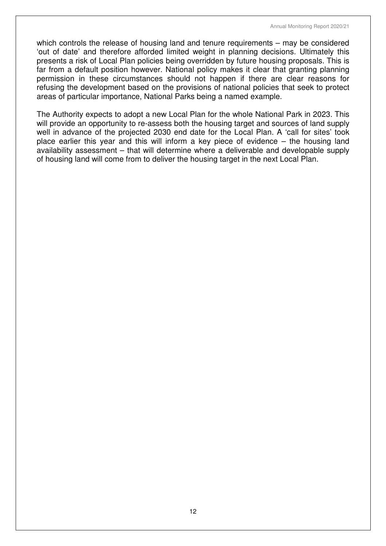which controls the release of housing land and tenure requirements – may be considered 'out of date' and therefore afforded limited weight in planning decisions. Ultimately this presents a risk of Local Plan policies being overridden by future housing proposals. This is far from a default position however. National policy makes it clear that granting planning permission in these circumstances should not happen if there are clear reasons for refusing the development based on the provisions of national policies that seek to protect areas of particular importance, National Parks being a named example.

The Authority expects to adopt a new Local Plan for the whole National Park in 2023. This will provide an opportunity to re-assess both the housing target and sources of land supply well in advance of the projected 2030 end date for the Local Plan. A 'call for sites' took place earlier this year and this will inform a key piece of evidence – the housing land availability assessment – that will determine where a deliverable and developable supply of housing land will come from to deliver the housing target in the next Local Plan.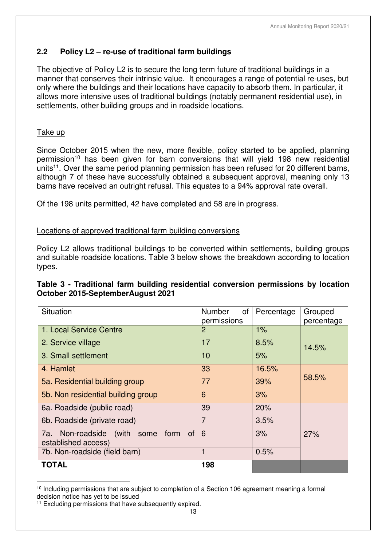# **2.2 Policy L2 – re-use of traditional farm buildings**

The objective of Policy L2 is to secure the long term future of traditional buildings in a manner that conserves their intrinsic value. It encourages a range of potential re-uses, but only where the buildings and their locations have capacity to absorb them. In particular, it allows more intensive uses of traditional buildings (notably permanent residential use), in settlements, other building groups and in roadside locations.

# Take up

Since October 2015 when the new, more flexible, policy started to be applied, planning permission<sup>10</sup> has been given for barn conversions that will yield 198 new residential units<sup>11</sup>. Over the same period planning permission has been refused for 20 different barns, although 7 of these have successfully obtained a subsequent approval, meaning only 13 barns have received an outright refusal. This equates to a 94% approval rate overall.

Of the 198 units permitted, 42 have completed and 58 are in progress.

# Locations of approved traditional farm building conversions

Policy L2 allows traditional buildings to be converted within settlements, building groups and suitable roadside locations. Table 3 below shows the breakdown according to location types.

# **Table 3 - Traditional farm building residential conversion permissions by location October 2015-SeptemberAugust 2021**

| Situation                                                                  | Number<br>οf   | Percentage | Grouped    |
|----------------------------------------------------------------------------|----------------|------------|------------|
|                                                                            | permissions    |            | percentage |
| 1. Local Service Centre                                                    | $\overline{2}$ | 1%         |            |
| 2. Service village                                                         | 17             | 8.5%       | 14.5%      |
| 3. Small settlement                                                        | 10             | 5%         |            |
| 4. Hamlet                                                                  | 33             | 16.5%      |            |
| 5a. Residential building group                                             | 77             | 39%        | 58.5%      |
| 5b. Non residential building group                                         | 6              | 3%         |            |
| 6a. Roadside (public road)                                                 | 39             | 20%        |            |
| 6b. Roadside (private road)                                                | $\overline{7}$ | 3.5%       |            |
| 7a. Non-roadside (with<br><b>of</b><br>form<br>some<br>established access) | 6              | 3%         | 27%        |
| 7b. Non-roadside (field barn)                                              |                | 0.5%       |            |
| <b>TOTAL</b>                                                               | 198            |            |            |

 $\overline{a}$ <sup>10</sup> Including permissions that are subject to completion of a Section 106 agreement meaning a formal decision notice has yet to be issued

<sup>&</sup>lt;sup>11</sup> Excluding permissions that have subsequently expired.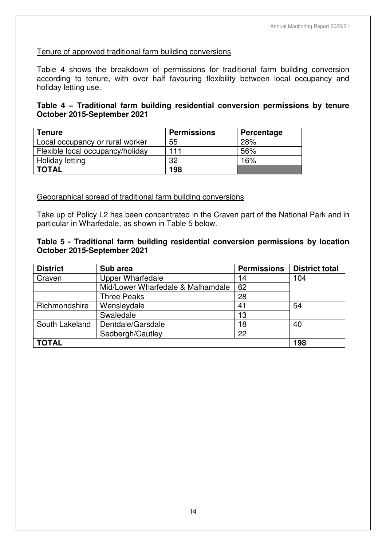# Tenure of approved traditional farm building conversions

Table 4 shows the breakdown of permissions for traditional farm building conversion according to tenure, with over half favouring flexibility between local occupancy and holiday letting use.

# **Table 4 – Traditional farm building residential conversion permissions by tenure October 2015-September 2021**

| <b>Tenure</b>                    | <b>Permissions</b> | Percentage |
|----------------------------------|--------------------|------------|
| Local occupancy or rural worker  | 55                 | 28%        |
| Flexible local occupancy/holiday | 111                | 56%        |
| Holiday letting                  | 32                 | 16%        |
| <b>TOTAL</b>                     | 198                |            |

# Geographical spread of traditional farm building conversions

Take up of Policy L2 has been concentrated in the Craven part of the National Park and in particular in Wharfedale, as shown in Table 5 below.

#### **Table 5 - Traditional farm building residential conversion permissions by location October 2015-September 2021**

| <b>District</b> | Sub area                          | <b>Permissions</b> | <b>District total</b> |
|-----------------|-----------------------------------|--------------------|-----------------------|
| Craven          | <b>Upper Wharfedale</b>           | 14                 | 104                   |
|                 | Mid/Lower Wharfedale & Malhamdale | 62                 |                       |
|                 | <b>Three Peaks</b>                | 28                 |                       |
| Richmondshire   | Wensleydale                       | 41                 | 54                    |
|                 | Swaledale                         | 13                 |                       |
| South Lakeland  | Dentdale/Garsdale                 | 18                 | 40                    |
|                 | Sedbergh/Cautley                  | 22                 |                       |
| <b>TOTAL</b>    |                                   |                    | 198                   |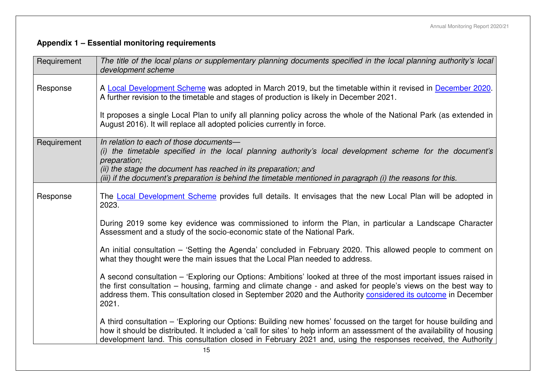# **Appendix 1 – Essential monitoring requirements**

| Requirement | The title of the local plans or supplementary planning documents specified in the local planning authority's local<br>development scheme                                                                                                                                                                                                                           |
|-------------|--------------------------------------------------------------------------------------------------------------------------------------------------------------------------------------------------------------------------------------------------------------------------------------------------------------------------------------------------------------------|
| Response    | A Local Development Scheme was adopted in March 2019, but the timetable within it revised in December 2020.<br>A further revision to the timetable and stages of production is likely in December 2021.                                                                                                                                                            |
|             | It proposes a single Local Plan to unify all planning policy across the whole of the National Park (as extended in<br>August 2016). It will replace all adopted policies currently in force.                                                                                                                                                                       |
| Requirement | In relation to each of those documents-<br>(i) the timetable specified in the local planning authority's local development scheme for the document's<br>preparation;<br>(ii) the stage the document has reached in its preparation; and<br>(iii) if the document's preparation is behind the timetable mentioned in paragraph (i) the reasons for this.            |
| Response    | The Local Development Scheme provides full details. It envisages that the new Local Plan will be adopted in<br>2023.                                                                                                                                                                                                                                               |
|             | During 2019 some key evidence was commissioned to inform the Plan, in particular a Landscape Character<br>Assessment and a study of the socio-economic state of the National Park.                                                                                                                                                                                 |
|             | An initial consultation – 'Setting the Agenda' concluded in February 2020. This allowed people to comment on<br>what they thought were the main issues that the Local Plan needed to address.                                                                                                                                                                      |
|             | A second consultation – 'Exploring our Options: Ambitions' looked at three of the most important issues raised in<br>the first consultation – housing, farming and climate change - and asked for people's views on the best way to<br>address them. This consultation closed in September 2020 and the Authority considered its outcome in December<br>2021.      |
|             | A third consultation – 'Exploring our Options: Building new homes' focussed on the target for house building and<br>how it should be distributed. It included a 'call for sites' to help inform an assessment of the availability of housing<br>development land. This consultation closed in February 2021 and, using the responses received, the Authority<br>15 |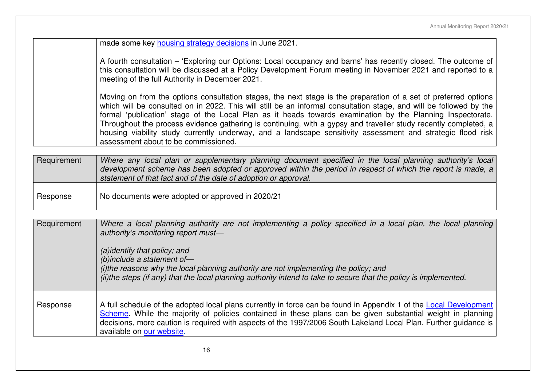made some key housing strategy decisions in June 2021.

A fourth consultation – 'Exploring our Options: Local occupancy and barns' has recently closed. The outcome of this consultation will be discussed at a Policy Development Forum meeting in November 2021 and reported to a meeting of the full Authority in December 2021.

Moving on from the options consultation stages, the next stage is the preparation of a set of preferred options which will be consulted on in 2022. This will still be an informal consultation stage, and will be followed by the formal 'publication' stage of the Local Plan as it heads towards examination by the Planning Inspectorate. Throughout the process evidence gathering is continuing, with a gypsy and traveller study recently completed, a housing viability study currently underway, and a landscape sensitivity assessment and strategic flood risk assessment about to be commissioned.

| Requirement | Where any local plan or supplementary planning document specified in the local planning authority's local   |
|-------------|-------------------------------------------------------------------------------------------------------------|
|             | development scheme has been adopted or approved within the period in respect of which the report is made, a |
|             | statement of that fact and of the date of adoption or approval.                                             |
|             |                                                                                                             |

Response  $\vert$  No documents were adopted or approved in 2020/21

Requirement *Where a local planning authority are not implementing a policy specified in a local plan, the local planning authority's monitoring report must—* 

> *(a)identify that policy; and (b)include a statement of—*

 *(i)the reasons why the local planning authority are not implementing the policy; and (ii)the steps (if any) that the local planning authority intend to take to secure that the policy is implemented.* 

Response  $\vert$  A full schedule of the adopted local plans currently in force can be found in Appendix 1 of the Local Development Scheme. While the majority of policies contained in these plans can be given substantial weight in planning decisions, more caution is required with aspects of the 1997/2006 South Lakeland Local Plan. Further guidance is available on <mark>our website</mark>.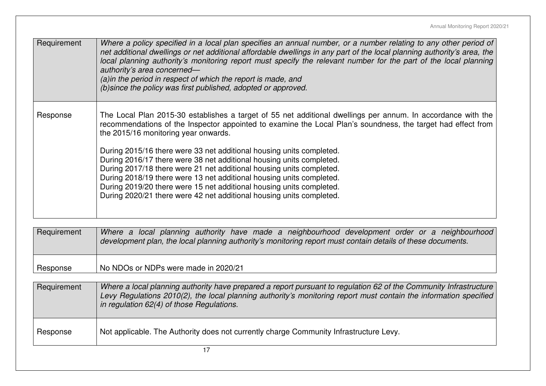| Requirement | Where a policy specified in a local plan specifies an annual number, or a number relating to any other period of<br>net additional dwellings or net additional affordable dwellings in any part of the local planning authority's area, the<br>local planning authority's monitoring report must specify the relevant number for the part of the local planning<br>authority's area concerned-<br>(a) in the period in respect of which the report is made, and<br>(b) since the policy was first published, adopted or approved.                                                                                                                                                                                    |
|-------------|----------------------------------------------------------------------------------------------------------------------------------------------------------------------------------------------------------------------------------------------------------------------------------------------------------------------------------------------------------------------------------------------------------------------------------------------------------------------------------------------------------------------------------------------------------------------------------------------------------------------------------------------------------------------------------------------------------------------|
| Response    | The Local Plan 2015-30 establishes a target of 55 net additional dwellings per annum. In accordance with the<br>recommendations of the Inspector appointed to examine the Local Plan's soundness, the target had effect from<br>the 2015/16 monitoring year onwards.<br>During 2015/16 there were 33 net additional housing units completed.<br>During 2016/17 there were 38 net additional housing units completed.<br>During 2017/18 there were 21 net additional housing units completed.<br>During 2018/19 there were 13 net additional housing units completed.<br>During 2019/20 there were 15 net additional housing units completed.<br>During 2020/21 there were 42 net additional housing units completed. |
| Requirement | Where a local planning authority have made a neighbourhood development order or a neighbourhood<br>development plan, the local planning authority's monitoring report must contain details of these documents.                                                                                                                                                                                                                                                                                                                                                                                                                                                                                                       |
| Response    | No NDOs or NDPs were made in 2020/21                                                                                                                                                                                                                                                                                                                                                                                                                                                                                                                                                                                                                                                                                 |
| Requirement | Where a local planning authority have prepared a report pursuant to regulation 62 of the Community Infrastructure<br>Levy Regulations 2010(2), the local planning authority's monitoring report must contain the information specified<br>in regulation 62(4) of those Regulations.                                                                                                                                                                                                                                                                                                                                                                                                                                  |
| Response    | Not applicable. The Authority does not currently charge Community Infrastructure Levy.                                                                                                                                                                                                                                                                                                                                                                                                                                                                                                                                                                                                                               |
|             | 17                                                                                                                                                                                                                                                                                                                                                                                                                                                                                                                                                                                                                                                                                                                   |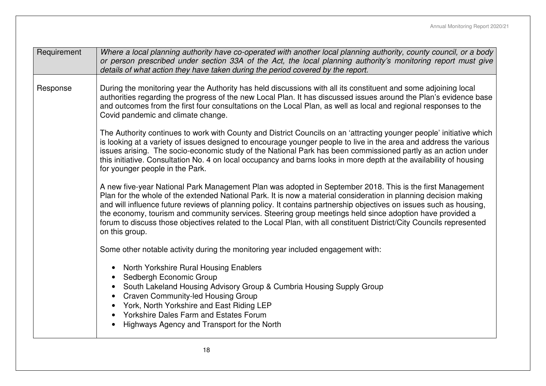| Requirement | Where a local planning authority have co-operated with another local planning authority, county council, or a body<br>or person prescribed under section 33A of the Act, the local planning authority's monitoring report must give<br>details of what action they have taken during the period covered by the report.                                                                                                                                                                                                                                                                                     |
|-------------|------------------------------------------------------------------------------------------------------------------------------------------------------------------------------------------------------------------------------------------------------------------------------------------------------------------------------------------------------------------------------------------------------------------------------------------------------------------------------------------------------------------------------------------------------------------------------------------------------------|
| Response    | During the monitoring year the Authority has held discussions with all its constituent and some adjoining local<br>authorities regarding the progress of the new Local Plan. It has discussed issues around the Plan's evidence base<br>and outcomes from the first four consultations on the Local Plan, as well as local and regional responses to the<br>Covid pandemic and climate change.                                                                                                                                                                                                             |
|             | The Authority continues to work with County and District Councils on an 'attracting younger people' initiative which<br>is looking at a variety of issues designed to encourage younger people to live in the area and address the various<br>issues arising. The socio-economic study of the National Park has been commissioned partly as an action under<br>this initiative. Consultation No. 4 on local occupancy and barns looks in more depth at the availability of housing<br>for younger people in the Park.                                                                                      |
|             | A new five-year National Park Management Plan was adopted in September 2018. This is the first Management<br>Plan for the whole of the extended National Park. It is now a material consideration in planning decision making<br>and will influence future reviews of planning policy. It contains partnership objectives on issues such as housing,<br>the economy, tourism and community services. Steering group meetings held since adoption have provided a<br>forum to discuss those objectives related to the Local Plan, with all constituent District/City Councils represented<br>on this group. |
|             | Some other notable activity during the monitoring year included engagement with:                                                                                                                                                                                                                                                                                                                                                                                                                                                                                                                           |
|             | North Yorkshire Rural Housing Enablers<br>Sedbergh Economic Group<br>$\bullet$<br>South Lakeland Housing Advisory Group & Cumbria Housing Supply Group<br><b>Craven Community-led Housing Group</b><br>York, North Yorkshire and East Riding LEP<br>$\bullet$<br>• Yorkshire Dales Farm and Estates Forum<br>Highways Agency and Transport for the North                                                                                                                                                                                                                                                   |